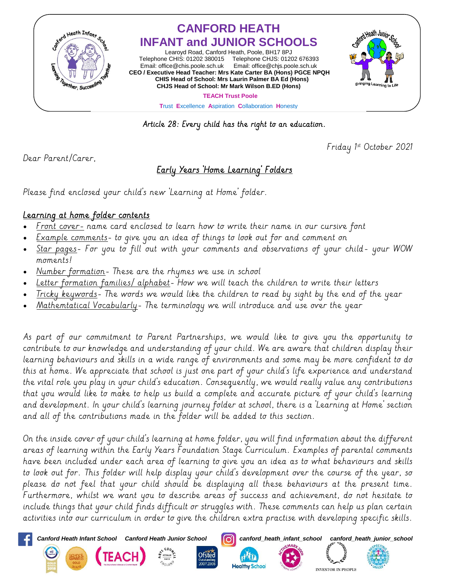

## **CANFORD HEATH INFANT and JUNIOR SCHOOLS**

Learoyd Road, Canford Heath, Poole, BH17 8PJ Telephone CHIS: 01202 380015 Telephone CHJS: 01202 676393 Email[: office@chis.poole.sch.uk](mailto:office@chis.poole.sch.uk) Email: [office@chjs.poole.sch.uk](mailto:office@chjs.poole.sch.uk) **CEO / Executive Head Teacher: Mrs Kate Carter BA (Hons) PGCE NPQH CHIS Head of School: Mrs Laurin Palmer BA Ed (Hons) CHJS Head of School: Mr Mark Wilson B.ED (Hons)** 



 **TEACH Trust Poole**

**T**rust **E**xcellence **A**spiration **C**ollaboration **H**onesty

Article 28: Every child has the right to an education.

Friday 1 st October 2021

Dear Parent/Carer,

## Early Years 'Home Learning' Folders

Please find enclosed your child's new 'Learning at Home' folder.

## Learning at home folder contents

- Front cover- name card enclosed to learn how to write their name in our cursive font
- Example comments- to give you an idea of things to look out for and comment on
- Star pages- For you to fill out with your comments and observations of your child- your WOW moments!
- Number formation- These are the rhymes we use in school
- Letter formation families/ alphabet- How we will teach the children to write their letters
- Tricky keywords- The words we would like the children to read by sight by the end of the year
- Mathemtatical Vocabularly- The terminology we will introduce and use over the year

As part of our commitment to Parent Partnerships, we would like to give you the opportunity to contribute to our knowledge and understanding of your child. We are aware that children display their learning behaviours and skills in a wide range of environments and some may be more confident to do this at home. We appreciate that school is just one part of your child's life experience and understand the vital role you play in your child's education. Consequently, we would really value any contributions that you would like to make to help us build a complete and accurate picture of your child's learning and development. In your child's learning journey folder at school, there is a 'Learning at Home' section and all of the contributions made in the folder will be added to this section.

On the inside cover of your child's learning at home folder, you will find information about the different areas of learning within the Early Years Foundation Stage Curriculum. Examples of parental comments have been included under each area of learning to give you an idea as to what behaviours and skills to look out for. This folder will help display your child's development over the course of the year, so please do not feel that your child should be displaying all these behaviours at the present time. Furthermore, whilst we want you to describe areas of success and achievement, do not hesitate to include things that your child finds difficult or struggles with. These comments can help us plan certain activities into our curriculum in order to give the children extra practise with developing specific skills.